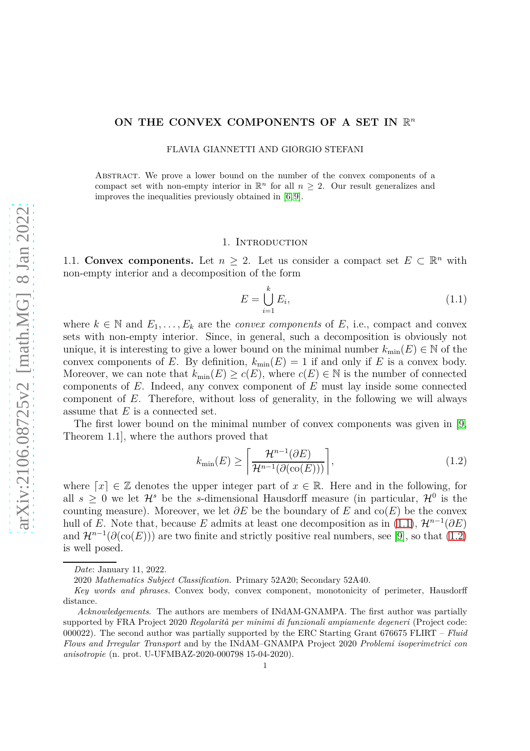# ON THE CONVEX COMPONENTS OF A SET IN  $\mathbb{R}^n$

FLAVIA GIANNETTI AND GIORGIO STEFANI

Abstract. We prove a lower bound on the number of the convex components of a compact set with non-empty interior in  $\mathbb{R}^n$  for all  $n \geq 2$ . Our result generalizes and improves the inequalities previously obtained in [\[6,](#page-15-0) [9\]](#page-15-1).

### 1. INTRODUCTION

1.1. **Convex components.** Let  $n \geq 2$ . Let us consider a compact set  $E \subset \mathbb{R}^n$  with non-empty interior and a decomposition of the form

<span id="page-0-0"></span>
$$
E = \bigcup_{i=1}^{k} E_i,\tag{1.1}
$$

where  $k \in \mathbb{N}$  and  $E_1, \ldots, E_k$  are the *convex components* of *E*, i.e., compact and convex sets with non-empty interior. Since, in general, such a decomposition is obviously not unique, it is interesting to give a lower bound on the minimal number  $k_{\min}(E) \in \mathbb{N}$  of the convex components of *E*. By definition,  $k_{\min}(E) = 1$  if and only if *E* is a convex body. Moreover, we can note that  $k_{\min}(E) \ge c(E)$ , where  $c(E) \in \mathbb{N}$  is the number of connected components of *E*. Indeed, any convex component of *E* must lay inside some connected component of *E*. Therefore, without loss of generality, in the following we will always assume that *E* is a connected set.

The first lower bound on the minimal number of convex components was given in [\[9,](#page-15-1) Theorem 1.1], where the authors proved that

<span id="page-0-1"></span>
$$
k_{\min}(E) \ge \left\lceil \frac{\mathcal{H}^{n-1}(\partial E)}{\mathcal{H}^{n-1}(\partial(\text{co}(E)))} \right\rceil, \tag{1.2}
$$

where  $\lceil x \rceil \in \mathbb{Z}$  denotes the upper integer part of  $x \in \mathbb{R}$ . Here and in the following, for all  $s \geq 0$  we let  $\mathcal{H}^s$  be the *s*-dimensional Hausdorff measure (in particular,  $\mathcal{H}^0$  is the counting measure). Moreover, we let  $\partial E$  be the boundary of *E* and co(*E*) be the convex hull of *E*. Note that, because *E* admits at least one decomposition as in [\(1.1\)](#page-0-0),  $\mathcal{H}^{n-1}(\partial E)$ and  $\mathcal{H}^{n-1}(\partial(\text{co}(E)))$  are two finite and strictly positive real numbers, see [\[9\]](#page-15-1), so that [\(1.2\)](#page-0-1) is well posed.

*Date*: January 11, 2022.

<sup>2020</sup> *Mathematics Subject Classification.* Primary 52A20; Secondary 52A40.

*Key words and phrases.* Convex body, convex component, monotonicity of perimeter, Hausdorff distance.

*Acknowledgements*. The authors are members of INdAM-GNAMPA. The first author was partially supported by FRA Project 2020 *Regolarità per minimi di funzionali ampiamente degeneri* (Project code: 000022). The second author was partially supported by the ERC Starting Grant 676675 FLIRT – *Fluid Flows and Irregular Transport* and by the INdAM–GNAMPA Project 2020 *Problemi isoperimetrici con anisotropie* (n. prot. U-UFMBAZ-2020-000798 15-04-2020).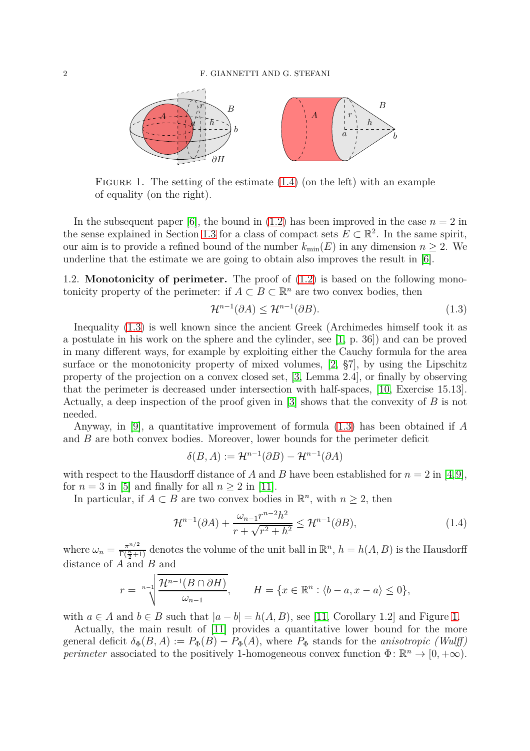<span id="page-1-2"></span>

FIGURE 1. The setting of the estimate  $(1.4)$  (on the left) with an example of equality (on the right).

In the subsequent paper  $[6]$ , the bound in  $(1.2)$  has been improved in the case  $n = 2$  in the sense explained in Section [1.3](#page-2-0) for a class of compact sets  $E \subset \mathbb{R}^2$ . In the same spirit, our aim is to provide a refined bound of the number  $k_{\min}(E)$  in any dimension  $n \geq 2$ . We underline that the estimate we are going to obtain also improves the result in [\[6\]](#page-15-0).

1.2. **Monotonicity of perimeter.** The proof of [\(1.2\)](#page-0-1) is based on the following monotonicity property of the perimeter: if  $A \subset B \subset \mathbb{R}^n$  are two convex bodies, then

<span id="page-1-1"></span>
$$
\mathcal{H}^{n-1}(\partial A) \le \mathcal{H}^{n-1}(\partial B). \tag{1.3}
$$

Inequality [\(1.3\)](#page-1-1) is well known since the ancient Greek (Archimedes himself took it as a postulate in his work on the sphere and the cylinder, see [\[1,](#page-15-2) p. 36]) and can be proved in many different ways, for example by exploiting either the Cauchy formula for the area surface or the monotonicity property of mixed volumes, [\[2,](#page-15-3) §7], by using the Lipschitz property of the projection on a convex closed set, [\[3,](#page-15-4) Lemma 2.4], or finally by observing that the perimeter is decreased under intersection with half-spaces, [\[10,](#page-15-5) Exercise 15.13]. Actually, a deep inspection of the proof given in [\[3\]](#page-15-4) shows that the convexity of *B* is not needed.

Anyway, in [\[9\]](#page-15-1), a quantitative improvement of formula [\(1.3\)](#page-1-1) has been obtained if *A* and *B* are both convex bodies. Moreover, lower bounds for the perimeter deficit

$$
\delta(B, A) := \mathcal{H}^{n-1}(\partial B) - \mathcal{H}^{n-1}(\partial A)
$$

with respect to the Hausdorff distance of *A* and *B* have been established for  $n = 2$  in [\[4,](#page-15-6)[9\]](#page-15-1), for  $n = 3$  in [\[5\]](#page-15-7) and finally for all  $n > 2$  in [\[11\]](#page-15-8).

In particular, if  $A \subset B$  are two convex bodies in  $\mathbb{R}^n$ , with  $n \geq 2$ , then

<span id="page-1-0"></span>
$$
\mathcal{H}^{n-1}(\partial A) + \frac{\omega_{n-1}r^{n-2}h^2}{r + \sqrt{r^2 + h^2}} \le \mathcal{H}^{n-1}(\partial B),\tag{1.4}
$$

where  $\omega_n = \frac{\pi^{n/2}}{\Gamma(\frac{n}{2})}$  $\frac{\pi^{n/2}}{\Gamma(\frac{n}{2}+1)}$  denotes the volume of the unit ball in  $\mathbb{R}^n$ ,  $h = h(A, B)$  is the Hausdorff distance of *A* and *B* and

$$
r = \sqrt[n-1]{\frac{\mathcal{H}^{n-1}(B \cap \partial H)}{\omega_{n-1}}}, \qquad H = \{x \in \mathbb{R}^n : \langle b - a, x - a \rangle \le 0\},\
$$

with  $a \in A$  and  $b \in B$  such that  $|a - b| = h(A, B)$ , see [\[11,](#page-15-8) Corollary [1.](#page-1-2)2] and Figure 1.

Actually, the main result of [\[11\]](#page-15-8) provides a quantitative lower bound for the more general deficit  $\delta_{\Phi}(B, A) := P_{\Phi}(B) - P_{\Phi}(A)$ , where  $P_{\Phi}$  stands for the *anisotropic (Wulff) perimeter* associated to the positively 1-homogeneous convex function  $\Phi \colon \mathbb{R}^n \to [0, +\infty)$ .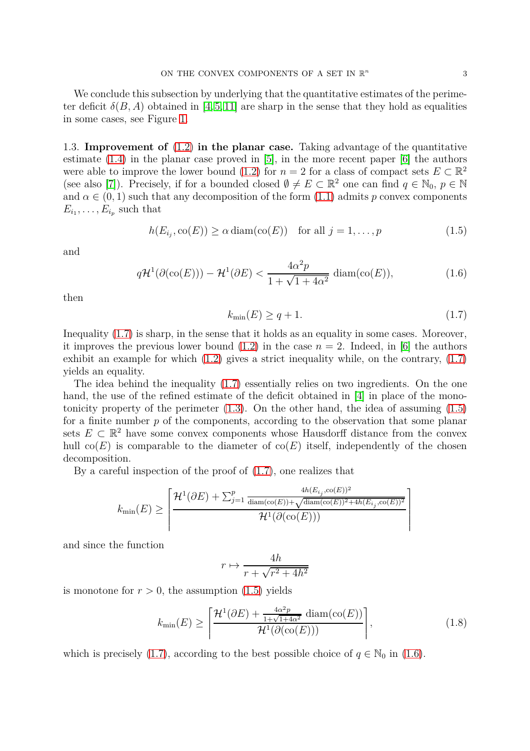We conclude this subsection by underlying that the quantitative estimates of the perimeter deficit  $\delta(B, A)$  obtained in [\[4,](#page-15-6) [5,](#page-15-7) [11\]](#page-15-8) are sharp in the sense that they hold as equalities in some cases, see Figure [1.](#page-1-2)

<span id="page-2-0"></span>1.3. **Improvement of** [\(1.2\)](#page-0-1) **in the planar case.** Taking advantage of the quantitative estimate [\(1.4\)](#page-1-0) in the planar case proved in [\[5\]](#page-15-7), in the more recent paper [\[6\]](#page-15-0) the authors were able to improve the lower bound [\(1.2\)](#page-0-1) for  $n = 2$  for a class of compact sets  $E \subset \mathbb{R}^2$ (see also [\[7\]](#page-15-9)). Precisely, if for a bounded closed  $\emptyset \neq E \subset \mathbb{R}^2$  one can find  $q \in \mathbb{N}_0$ ,  $p \in \mathbb{N}$ and  $\alpha \in (0,1)$  such that any decomposition of the form  $(1.1)$  admits p convex components  $E_{i_1}, \ldots, E_{i_p}$  such that

<span id="page-2-2"></span>
$$
h(E_{i_j}, \text{co}(E)) \ge \alpha \operatorname{diam}(\text{co}(E)) \quad \text{for all } j = 1, \dots, p \tag{1.5}
$$

and

<span id="page-2-3"></span>
$$
q\mathcal{H}^1(\partial(\text{co}(E))) - \mathcal{H}^1(\partial E) < \frac{4\alpha^2 p}{1 + \sqrt{1 + 4\alpha^2}} \operatorname{diam}(\text{co}(E)),\tag{1.6}
$$

then

<span id="page-2-1"></span>
$$
k_{\min}(E) \ge q + 1. \tag{1.7}
$$

Inequality [\(1.7\)](#page-2-1) is sharp, in the sense that it holds as an equality in some cases. Moreover, it improves the previous lower bound  $(1.2)$  in the case  $n = 2$ . Indeed, in [\[6\]](#page-15-0) the authors exhibit an example for which [\(1.2\)](#page-0-1) gives a strict inequality while, on the contrary, [\(1.7\)](#page-2-1) yields an equality.

The idea behind the inequality [\(1.7\)](#page-2-1) essentially relies on two ingredients. On the one hand, the use of the refined estimate of the deficit obtained in [\[4\]](#page-15-6) in place of the monotonicity property of the perimeter  $(1.3)$ . On the other hand, the idea of assuming  $(1.5)$ for a finite number *p* of the components, according to the observation that some planar sets  $E \subset \mathbb{R}^2$  have some convex components whose Hausdorff distance from the convex hull  $co(E)$  is comparable to the diameter of  $co(E)$  itself, independently of the chosen decomposition.

By a careful inspection of the proof of [\(1.7\)](#page-2-1), one realizes that

$$
k_{\min}(E) \geq \left\lceil \frac{\mathcal{H}^1(\partial E) + \sum_{j=1}^p \frac{4h(E_{i_j}, \cos(E))^2}{\text{diam}(\cos(E)) + \sqrt{\text{diam}(\cos(E))^2 + 4h(E_{i_j}, \cos(E))^2}}}{\mathcal{H}^1(\partial(\cos(E)))} \right\rceil
$$

and since the function

$$
r \mapsto \frac{4h}{r + \sqrt{r^2 + 4h^2}}
$$

is monotone for  $r > 0$ , the assumption  $(1.5)$  yields

<span id="page-2-4"></span>
$$
k_{\min}(E) \ge \left[ \frac{\mathcal{H}^1(\partial E) + \frac{4\alpha^2 p}{1 + \sqrt{1 + 4\alpha^2}} \operatorname{diam}(\text{co}(E))}{\mathcal{H}^1(\partial(\text{co}(E)))} \right],\tag{1.8}
$$

which is precisely [\(1.7\)](#page-2-1), according to the best possible choice of  $q \in \mathbb{N}_0$  in [\(1.6\)](#page-2-3).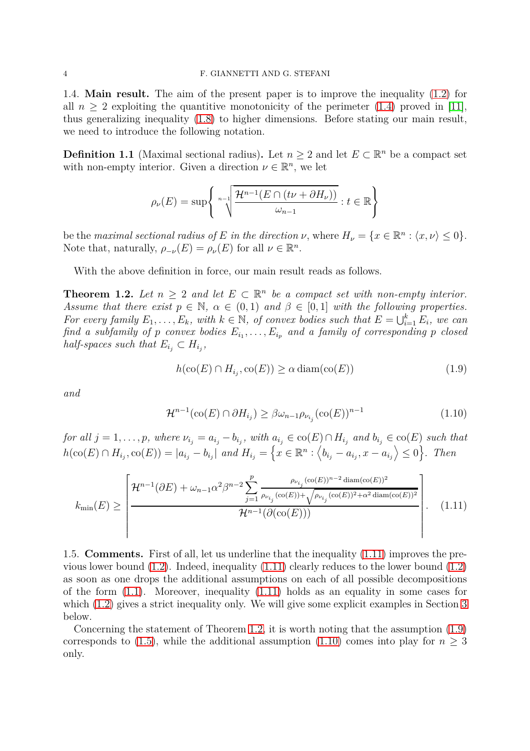1.4. **Main result.** The aim of the present paper is to improve the inequality [\(1.2\)](#page-0-1) for all  $n \geq 2$  exploiting the quantitive monotonicity of the perimeter [\(1.4\)](#page-1-0) proved in [\[11\]](#page-15-8), thus generalizing inequality [\(1.8\)](#page-2-4) to higher dimensions. Before stating our main result, we need to introduce the following notation.

<span id="page-3-4"></span>**Definition 1.1** (Maximal sectional radius). Let  $n \geq 2$  and let  $E \subset \mathbb{R}^n$  be a compact set with non-empty interior. Given a direction  $\nu \in \mathbb{R}^n$ , we let

$$
\rho_{\nu}(E) = \sup \left\{ \sqrt[n-1]{\frac{\mathcal{H}^{n-1}(E \cap (t\nu + \partial H_{\nu}))}{\omega_{n-1}}} : t \in \mathbb{R} \right\}
$$

be the *maximal sectional radius of*  $E$  *in the direction*  $\nu$ , where  $H_{\nu} = \{x \in \mathbb{R}^n : \langle x, \nu \rangle \leq 0\}.$ Note that, naturally,  $\rho_{-\nu}(E) = \rho_{\nu}(E)$  for all  $\nu \in \mathbb{R}^n$ .

<span id="page-3-1"></span>With the above definition in force, our main result reads as follows.

**Theorem 1.2.** Let  $n \geq 2$  and let  $E \subset \mathbb{R}^n$  be a compact set with non-empty interior. *Assume that there exist*  $p \in \mathbb{N}$ ,  $\alpha \in (0,1)$  *and*  $\beta \in [0,1]$  *with the following properties. For every family*  $E_1, \ldots, E_k$ *, with*  $k \in \mathbb{N}$ *, of convex bodies such that*  $E = \bigcup_{i=1}^k E_i$ *, we can find a subfamily of p convex bodies*  $E_{i_1}, \ldots, E_{i_p}$  *and a family of corresponding p closed half-spaces such that*  $E_{i_j} \subset H_{i_j}$ ,

<span id="page-3-2"></span>
$$
h(\text{co}(E) \cap H_{i_j}, \text{co}(E)) \ge \alpha \operatorname{diam}(\text{co}(E))
$$
\n(1.9)

*and*

<span id="page-3-3"></span>
$$
\mathcal{H}^{n-1}(\text{co}(E) \cap \partial H_{i_j}) \ge \beta \omega_{n-1} \rho_{\nu_{i_j}}(\text{co}(E))^{n-1}
$$
\n(1.10)

for all  $j = 1, ..., p$ , where  $\nu_{i_j} = a_{i_j} - b_{i_j}$ , with  $a_{i_j} \in \text{co}(E) \cap H_{i_j}$  and  $b_{i_j} \in \text{co}(E)$  such that  $h(\text{co}(E) \cap H_{i_j}, \text{co}(E)) = |a_{i_j} - b_{i_j}|$  and  $H_{i_j} = \left\{ x \in \mathbb{R}^n : \left\langle b_{i_j} - a_{i_j}, x - a_{i_j} \right\rangle \leq 0 \right\}$ . Then

<span id="page-3-0"></span>
$$
k_{\min}(E) \ge \left(\frac{\mathcal{H}^{n-1}(\partial E) + \omega_{n-1}\alpha^2 \beta^{n-2} \sum_{j=1}^p \frac{\rho_{\nu_{i_j}}(\text{co}(E))^{n-2} \operatorname{diam}(\text{co}(E))^2}{\rho_{\nu_{i_j}}(\text{co}(E)) + \sqrt{\rho_{\nu_{i_j}}(\text{co}(E))^2 + \alpha^2 \operatorname{diam}(\text{co}(E))^2}}}{\mathcal{H}^{n-1}(\partial(\text{co}(E)))}\right).
$$
(1.11)

1.5. **Comments.** First of all, let us underline that the inequality [\(1.11\)](#page-3-0) improves the previous lower bound [\(1.2\)](#page-0-1). Indeed, inequality [\(1.11\)](#page-3-0) clearly reduces to the lower bound [\(1.2\)](#page-0-1) as soon as one drops the additional assumptions on each of all possible decompositions of the form  $(1.1)$ . Moreover, inequality  $(1.11)$  holds as an equality in some cases for which  $(1.2)$  gives a strict inequality only. We will give some explicit examples in Section [3](#page-7-0) below.

Concerning the statement of Theorem [1.2,](#page-3-1) it is worth noting that the assumption [\(1.9\)](#page-3-2) corresponds to [\(1.5\)](#page-2-2), while the additional assumption [\(1.10\)](#page-3-3) comes into play for  $n \geq 3$ only.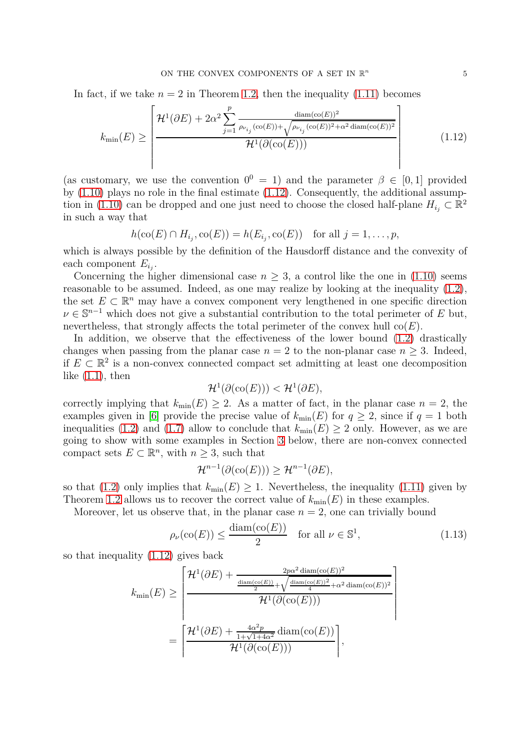In fact, if we take  $n = 2$  in Theorem [1.2,](#page-3-1) then the inequality  $(1.11)$  becomes

<span id="page-4-0"></span>
$$
k_{\min}(E) \ge \left\lfloor \frac{\mathcal{H}^1(\partial E) + 2\alpha^2 \sum_{j=1}^p \frac{\text{diam}(\text{co}(E))^2}{\rho_{\nu_{i_j}}(\text{co}(E)) + \sqrt{\rho_{\nu_{i_j}}(\text{co}(E))^2 + \alpha^2 \text{diam}(\text{co}(E))^2}}}{\mathcal{H}^1(\partial(\text{co}(E)))} \right\rfloor \tag{1.12}
$$

(as customary, we use the convention  $0^0 = 1$ ) and the parameter  $\beta \in [0, 1]$  provided by  $(1.10)$  plays no role in the final estimate  $(1.12)$ . Consequently, the additional assump-tion in [\(1.10\)](#page-3-3) can be dropped and one just need to choose the closed half-plane  $H_{i_j} \subset \mathbb{R}^2$ in such a way that

$$
h(\text{co}(E) \cap H_{i_j}, \text{co}(E)) = h(E_{i_j}, \text{co}(E)) \text{ for all } j = 1, \dots, p,
$$

which is always possible by the definition of the Hausdorff distance and the convexity of each component *E<sup>i</sup><sup>j</sup>* .

Concerning the higher dimensional case  $n \geq 3$ , a control like the one in [\(1.10\)](#page-3-3) seems reasonable to be assumed. Indeed, as one may realize by looking at the inequality [\(1.2\)](#page-0-1), the set  $E \subset \mathbb{R}^n$  may have a convex component very lengthened in one specific direction  $\nu \in \mathbb{S}^{n-1}$  which does not give a substantial contribution to the total perimeter of *E* but, nevertheless, that strongly affects the total perimeter of the convex hull  $co(E)$ .

In addition, we observe that the effectiveness of the lower bound [\(1.2\)](#page-0-1) drastically changes when passing from the planar case  $n = 2$  to the non-planar case  $n \geq 3$ . Indeed, if  $E \text{ }\subset \mathbb{R}^2$  is a non-convex connected compact set admitting at least one decomposition like  $(1.1)$ , then

$$
\mathcal{H}^1(\partial(\mathrm{co}(E))) < \mathcal{H}^1(\partial E),
$$

correctly implying that  $k_{\min}(E) \geq 2$ . As a matter of fact, in the planar case  $n = 2$ , the examples given in [\[6\]](#page-15-0) provide the precise value of  $k_{\text{min}}(E)$  for  $q \geq 2$ , since if  $q = 1$  both inequalities [\(1.2\)](#page-0-1) and [\(1.7\)](#page-2-1) allow to conclude that  $k_{\min}(E) \ge 2$  only. However, as we are going to show with some examples in Section [3](#page-7-0) below, there are non-convex connected compact sets  $E \subset \mathbb{R}^n$ , with  $n \geq 3$ , such that

$$
\mathcal{H}^{n-1}(\partial(\mathrm{co}(E))) \geq \mathcal{H}^{n-1}(\partial E),
$$

so that [\(1.2\)](#page-0-1) only implies that  $k_{\min}(E) \geq 1$ . Nevertheless, the inequality [\(1.11\)](#page-3-0) given by Theorem [1.2](#page-3-1) allows us to recover the correct value of  $k_{\min}(E)$  in these examples.

Moreover, let us observe that, in the planar case  $n = 2$ , one can trivially bound

<span id="page-4-1"></span>
$$
\rho_{\nu}(\text{co}(E)) \le \frac{\text{diam}(\text{co}(E))}{2} \quad \text{for all } \nu \in \mathbb{S}^1,
$$
\n(1.13)

1  $\overline{1}$  $\overline{1}$  $\overline{1}$  $\overline{1}$  $\overline{1}$  $\overline{1}$  $\mathbf{I}$ 

so that inequality [\(1.12\)](#page-4-0) gives back

$$
k_{\min}(E) \geq \left[ \frac{\mathcal{H}^1(\partial E) + \frac{2p\alpha^2 \operatorname{diam}(\operatorname{co}(E))^2}{\frac{\operatorname{diam}(\operatorname{co}(E))}{4} + \sqrt{\frac{\operatorname{diam}(\operatorname{co}(E))^2}{4} + \alpha^2 \operatorname{diam}(\operatorname{co}(E))^2}}{\mathcal{H}^1(\partial(\operatorname{co}(E)))} \right]
$$

$$
= \left[ \frac{\mathcal{H}^1(\partial E) + \frac{4\alpha^2 p}{1 + \sqrt{1 + 4\alpha^2}} \operatorname{diam}(\operatorname{co}(E))}{\mathcal{H}^1(\partial(\operatorname{co}(E)))} \right],
$$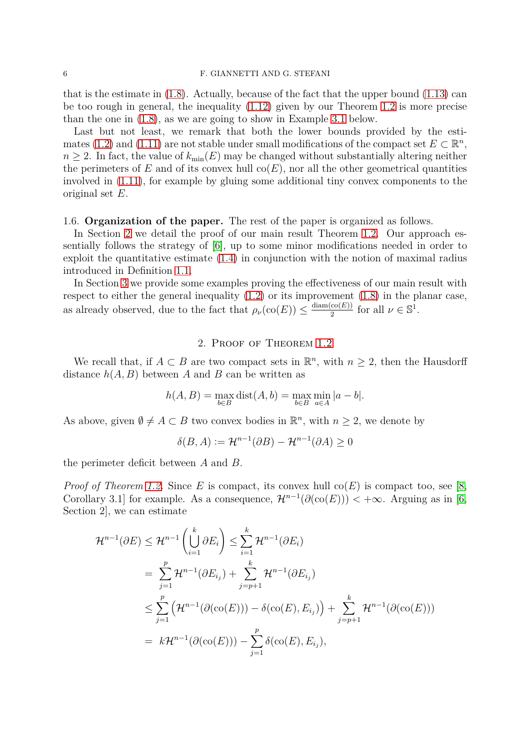that is the estimate in  $(1.8)$ . Actually, because of the fact that the upper bound  $(1.13)$  can be too rough in general, the inequality [\(1.12\)](#page-4-0) given by our Theorem [1.2](#page-3-1) is more precise than the one in [\(1.8\)](#page-2-4), as we are going to show in Example [3.1](#page-7-1) below.

Last but not least, we remark that both the lower bounds provided by the esti-mates [\(1.2\)](#page-0-1) and [\(1.11\)](#page-3-0) are not stable under small modifications of the compact set  $E \subset \mathbb{R}^n$ ,  $n \geq 2$ . In fact, the value of  $k_{\min}(E)$  may be changed without substantially altering neither the perimeters of  $E$  and of its convex hull  $co(E)$ , nor all the other geometrical quantities involved in [\(1.11\)](#page-3-0), for example by gluing some additional tiny convex components to the original set *E*.

## 1.6. **Organization of the paper.** The rest of the paper is organized as follows.

In Section [2](#page-5-0) we detail the proof of our main result Theorem [1.2.](#page-3-1) Our approach essentially follows the strategy of [\[6\]](#page-15-0), up to some minor modifications needed in order to exploit the quantitative estimate  $(1.4)$  in conjunction with the notion of maximal radius introduced in Definition [1.1.](#page-3-4)

In Section [3](#page-7-0) we provide some examples proving the effectiveness of our main result with respect to either the general inequality  $(1.2)$  or its improvement  $(1.8)$  in the planar case, as already observed, due to the fact that  $\rho_{\nu}(\text{co}(E)) \leq \frac{\text{diam}(\text{co}(E))}{2}$  $\frac{\text{co}(E)}{2}$  for all  $\nu \in \mathbb{S}^1$ .

#### 2. Proof of Theorem [1.2](#page-3-1)

<span id="page-5-0"></span>We recall that, if  $A \subset B$  are two compact sets in  $\mathbb{R}^n$ , with  $n \geq 2$ , then the Hausdorff distance *h*(*A, B*) between *A* and *B* can be written as

$$
h(A, B) = \max_{b \in B} \text{dist}(A, b) = \max_{b \in B} \min_{a \in A} |a - b|.
$$

As above, given  $\emptyset \neq A \subset B$  two convex bodies in  $\mathbb{R}^n$ , with  $n \geq 2$ , we denote by

$$
\delta(B, A) := \mathcal{H}^{n-1}(\partial B) - \mathcal{H}^{n-1}(\partial A) \ge 0
$$

the perimeter deficit between *A* and *B*.

*Proof of Theorem [1.2.](#page-3-1)* Since *E* is compact, its convex hull  $co(E)$  is compact too, see [\[8,](#page-15-10) Corollary 3.1] for example. As a consequence,  $\mathcal{H}^{n-1}(\partial(\mathrm{co}(E))) < +\infty$ . Arguing as in [\[6,](#page-15-0) Section 2], we can estimate

$$
\mathcal{H}^{n-1}(\partial E) \leq \mathcal{H}^{n-1}\left(\bigcup_{i=1}^{k} \partial E_{i}\right) \leq \sum_{i=1}^{k} \mathcal{H}^{n-1}(\partial E_{i})
$$
  
\n
$$
= \sum_{j=1}^{p} \mathcal{H}^{n-1}(\partial E_{i_{j}}) + \sum_{j=p+1}^{k} \mathcal{H}^{n-1}(\partial E_{i_{j}})
$$
  
\n
$$
\leq \sum_{j=1}^{p} \left(\mathcal{H}^{n-1}(\partial(\text{co}(E))) - \delta(\text{co}(E), E_{i_{j}})\right) + \sum_{j=p+1}^{k} \mathcal{H}^{n-1}(\partial(\text{co}(E)))
$$
  
\n
$$
= k\mathcal{H}^{n-1}(\partial(\text{co}(E))) - \sum_{j=1}^{p} \delta(\text{co}(E), E_{i_{j}}),
$$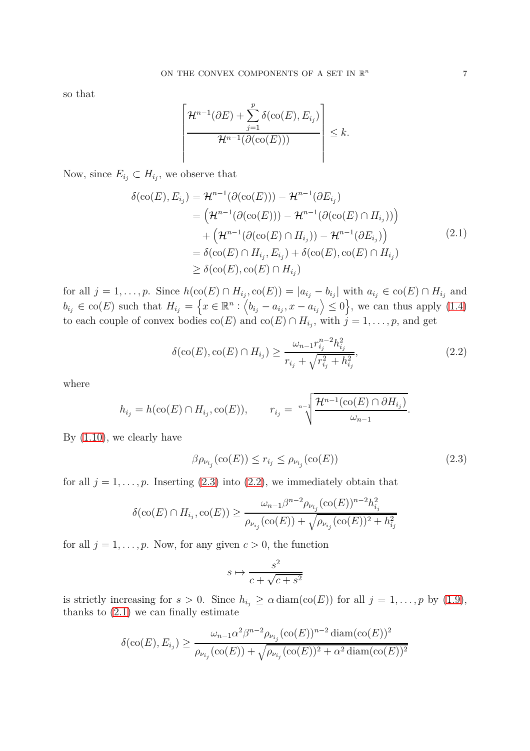so that

$$
\left\lceil \frac{\mathcal{H}^{n-1}(\partial E) + \sum_{j=1}^p \delta(\mathrm{co}(E), E_{i_j})}{\mathcal{H}^{n-1}(\partial(\mathrm{co}(E)))} \right\rceil \leq k.
$$

Now, since  $E_{i_j} \subset H_{i_j}$ , we observe that

$$
\delta(\text{co}(E), E_{i_j}) = \mathcal{H}^{n-1}(\partial(\text{co}(E))) - \mathcal{H}^{n-1}(\partial E_{i_j})
$$
  
\n
$$
= (\mathcal{H}^{n-1}(\partial(\text{co}(E))) - \mathcal{H}^{n-1}(\partial(\text{co}(E) \cap H_{i_j})))
$$
  
\n
$$
+ (\mathcal{H}^{n-1}(\partial(\text{co}(E) \cap H_{i_j})) - \mathcal{H}^{n-1}(\partial E_{i_j}))
$$
  
\n
$$
= \delta(\text{co}(E) \cap H_{i_j}, E_{i_j}) + \delta(\text{co}(E), \text{co}(E) \cap H_{i_j})
$$
  
\n
$$
\geq \delta(\text{co}(E), \text{co}(E) \cap H_{i_j})
$$
\n(2.1)

<span id="page-6-2"></span>for all  $j = 1, ..., p$ . Since  $h(\text{co}(E) \cap H_{i_j}, \text{co}(E)) = |a_{i_j} - b_{i_j}|$  with  $a_{i_j} \in \text{co}(E) \cap H_{i_j}$  and  $b_{i_j} \in \text{co}(E)$  such that  $H_{i_j} = \left\{ x \in \mathbb{R}^n : \left\langle b_{i_j} - a_{i_j}, x - a_{i_j} \right\rangle \leq 0 \right\}$ , we can thus apply  $(1.4)$ to each couple of convex bodies  $\text{co}(E)$  and  $\text{co}(E) \cap H_{i_j}$ , with  $j = 1, \ldots, p$ , and get

<span id="page-6-1"></span>
$$
\delta(\text{co}(E), \text{co}(E) \cap H_{i_j}) \ge \frac{\omega_{n-1} r_{i_j}^{n-2} h_{i_j}^2}{r_{i_j} + \sqrt{r_{i_j}^2 + h_{i_j}^2}},\tag{2.2}
$$

where

$$
h_{i_j} = h(\operatorname{co}(E) \cap H_{i_j}, \operatorname{co}(E)), \qquad r_{i_j} = \sqrt[n-1]{\frac{\mathcal{H}^{n-1}(\operatorname{co}(E) \cap \partial H_{i_j})}{\omega_{n-1}}}.
$$

By [\(1.10\)](#page-3-3), we clearly have

<span id="page-6-0"></span>
$$
\beta \rho_{\nu_{i_j}}(\text{co}(E)) \le r_{i_j} \le \rho_{\nu_{i_j}}(\text{co}(E)) \tag{2.3}
$$

for all  $j = 1, \ldots, p$ . Inserting [\(2.3\)](#page-6-0) into [\(2.2\)](#page-6-1), we immediately obtain that

$$
\delta(\text{co}(E) \cap H_{i_j}, \text{co}(E)) \ge \frac{\omega_{n-1} \beta^{n-2} \rho_{\nu_{i_j}} (\text{co}(E))^{n-2} h_{i_j}^2}{\rho_{\nu_{i_j}} (\text{co}(E)) + \sqrt{\rho_{\nu_{i_j}} (\text{co}(E))^2 + h_{i_j}^2}}
$$

for all  $j = 1, \ldots, p$ . Now, for any given  $c > 0$ , the function

$$
s \mapsto \frac{s^2}{c + \sqrt{c + s^2}}
$$

is strictly increasing for  $s > 0$ . Since  $h_{i_j} \ge \alpha \text{ diam}(\text{co}(E))$  for all  $j = 1, ..., p$  by [\(1.9\)](#page-3-2), thanks to  $(2.1)$  we can finally estimate

$$
\delta(\text{co}(E), E_{i_j}) \ge \frac{\omega_{n-1}\alpha^2 \beta^{n-2} \rho_{\nu_{i_j}}(\text{co}(E))^{n-2} \operatorname{diam}(\text{co}(E))^2}{\rho_{\nu_{i_j}}(\text{co}(E)) + \sqrt{\rho_{\nu_{i_j}}(\text{co}(E))^2 + \alpha^2 \operatorname{diam}(\text{co}(E))^2}}
$$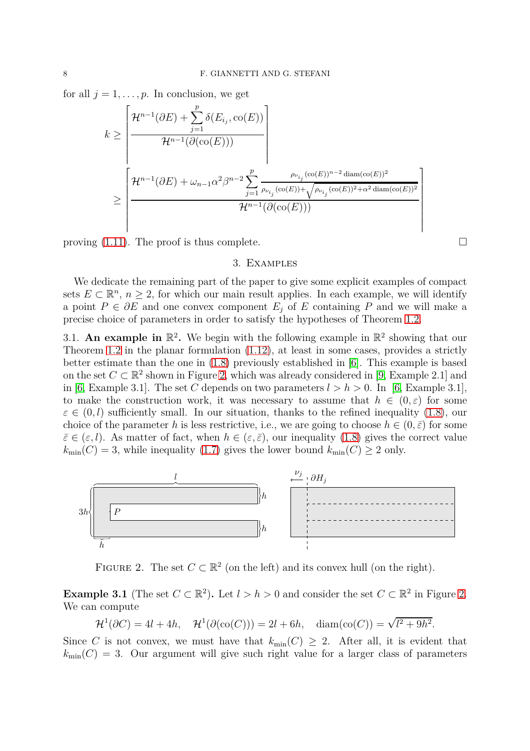for all  $j = 1, \ldots, p$ . In conclusion, we get

$$
k \geq \frac{\left\lceil \frac{\mathcal{H}^{n-1}(\partial E) + \sum_{j=1}^{p} \delta(E_{i_j}, \text{co}(E))}{\mathcal{H}^{n-1}(\partial(\text{co}(E)))} \right\rceil}{\mathcal{H}^{n-1}(\partial E) + \omega_{n-1} \alpha^2 \beta^{n-2} \sum_{j=1}^{p} \frac{\rho_{\nu_{i_j}}(\text{co}(E))^{n-2} \operatorname{diam}(\text{co}(E))^2}{\rho_{\nu_{i_j}}(\text{co}(E)) + \sqrt{\rho_{\nu_{i_j}}(\text{co}(E))^2 + \alpha^2 \operatorname{diam}(\text{co}(E))^2}}}{\mathcal{H}^{n-1}(\partial(\text{co}(E)))}
$$

<span id="page-7-0"></span>proving  $(1.11)$ . The proof is thus complete.

# 3. Examples

We dedicate the remaining part of the paper to give some explicit examples of compact sets  $E \subset \mathbb{R}^n$ ,  $n \geq 2$ , for which our main result applies. In each example, we will identify a point  $P \in \partial E$  and one convex component  $E_j$  of  $E$  containing  $P$  and we will make a precise choice of parameters in order to satisfy the hypotheses of Theorem [1.2.](#page-3-1)

3.1. An example in  $\mathbb{R}^2$ . We begin with the following example in  $\mathbb{R}^2$  showing that our Theorem [1.2](#page-3-1) in the planar formulation [\(1.12\)](#page-4-0), at least in some cases, provides a strictly better estimate than the one in [\(1.8\)](#page-2-4) previously established in [\[6\]](#page-15-0). This example is based on the set  $C \subset \mathbb{R}^2$  shown in Figure [2,](#page-7-2) which was already considered in [\[9,](#page-15-1) Example 2.1] and in [\[6,](#page-15-0) Example 3.1]. The set C depends on two parameters  $l > h > 0$ . In [6, Example 3.1], to make the construction work, it was necessary to assume that  $h \in (0,\varepsilon)$  for some  $\varepsilon \in (0, l)$  sufficiently small. In our situation, thanks to the refined inequality [\(1.8\)](#page-2-4), our choice of the parameter *h* is less restrictive, i.e., we are going to choose  $h \in (0, \bar{\varepsilon})$  for some  $\bar{\varepsilon} \in (\varepsilon, l)$ . As matter of fact, when  $h \in (\varepsilon, \bar{\varepsilon})$ , our inequality [\(1.8\)](#page-2-4) gives the correct value  $k_{\min}(C) = 3$ , while inequality [\(1.7\)](#page-2-1) gives the lower bound  $k_{\min}(C) \geq 2$  only.

<span id="page-7-2"></span>

FIGURE 2. The set  $C \subset \mathbb{R}^2$  (on the left) and its convex hull (on the right).

<span id="page-7-1"></span>**Example 3.1** (The set  $C \subset \mathbb{R}^2$ ). Let  $l > h > 0$  and consider the set  $C \subset \mathbb{R}^2$  in Figure [2.](#page-7-2) We can compute

$$
\mathcal{H}^1(\partial C) = 4l + 4h, \quad \mathcal{H}^1(\partial(\text{co}(C))) = 2l + 6h, \quad \text{diam}(\text{co}(C)) = \sqrt{l^2 + 9h^2}.
$$

Since *C* is not convex, we must have that  $k_{\min}(C) \geq 2$ . After all, it is evident that  $k_{\text{min}}(C) = 3$ . Our argument will give such right value for a larger class of parameters

1  $\overline{1}$  $\mathbf{I}$  $\mathbf{I}$  $\mathbf{I}$  $\mathbf{I}$  $\mathbf{I}$  $\mathbf{I}$  $\mathbf{I}$  $\mathbf{I}$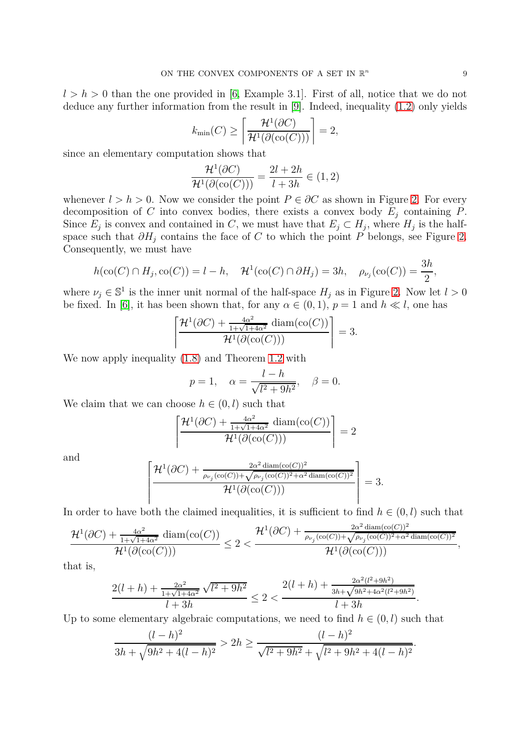$l > h > 0$  than the one provided in [\[6,](#page-15-0) Example 3.1]. First of all, notice that we do not deduce any further information from the result in [\[9\]](#page-15-1). Indeed, inequality [\(1.2\)](#page-0-1) only yields

$$
k_{\min}(C) \ge \left\lceil \frac{\mathcal{H}^1(\partial C)}{\mathcal{H}^1(\partial(\mathcal{O}(C)))} \right\rceil = 2,
$$

since an elementary computation shows that

$$
\frac{\mathcal{H}^1(\partial C)}{\mathcal{H}^1(\partial(\text{co}(C)))} = \frac{2l + 2h}{l + 3h} \in (1, 2)
$$

whenever  $l > h > 0$ . Now we consider the point  $P \in \partial C$  as shown in Figure [2.](#page-7-2) For every decomposition of *C* into convex bodies, there exists a convex body  $E_i$  containing *P*. Since  $E_j$  is convex and contained in *C*, we must have that  $E_j \subset H_j$ , where  $H_j$  is the halfspace such that  $\partial H_j$  contains the face of *C* to which the point *P* belongs, see Figure [2.](#page-7-2) Consequently, we must have

$$
h(\text{co}(C) \cap H_j, \text{co}(C)) = l - h, \quad \mathcal{H}^1(\text{co}(C) \cap \partial H_j) = 3h, \quad \rho_{\nu_j}(\text{co}(C)) = \frac{3h}{2},
$$

where  $\nu_j \in \mathbb{S}^1$  is the inner unit normal of the half-space  $H_j$  as in Figure [2.](#page-7-2) Now let  $l > 0$ be fixed. In [\[6\]](#page-15-0), it has been shown that, for any  $\alpha \in (0,1)$ ,  $p=1$  and  $h \ll l$ , one has

$$
\left[\frac{\mathcal{H}^1(\partial C) + \frac{4\alpha^2}{1+\sqrt{1+4\alpha^2}} \operatorname{diam}(\operatorname{co}(C))}{\mathcal{H}^1(\partial(\operatorname{co}(C)))}\right] = 3.
$$

We now apply inequality [\(1.8\)](#page-2-4) and Theorem [1.2](#page-3-1) with

$$
p = 1, \quad \alpha = \frac{l - h}{\sqrt{l^2 + 9h^2}}, \quad \beta = 0.
$$

We claim that we can choose  $h \in (0, l)$  such that

$$
\left[\frac{\mathcal{H}^1(\partial C) + \frac{4\alpha^2}{1+\sqrt{1+4\alpha^2}} \operatorname{diam}(\text{co}(C))}{\mathcal{H}^1(\partial(\text{co}(C)))}\right] = 2
$$

and

$$
\left[\frac{\mathcal{H}^1(\partial C) + \frac{2\alpha^2 \operatorname{diam}(\operatorname{co}(C))^2}{\rho_{\nu_j}(\operatorname{co}(C))+\sqrt{\rho_{\nu_j}(\operatorname{co}(C))^2+\alpha^2 \operatorname{diam}(\operatorname{co}(C))^2}}}{\mathcal{H}^1(\partial(\operatorname{co}(C)))}\right] = 3.
$$

In order to have both the claimed inequalities, it is sufficient to find  $h \in (0, l)$  such that

$$
\frac{\mathcal{H}^1(\partial C) + \frac{4\alpha^2}{1+\sqrt{1+4\alpha^2}}\operatorname{diam}(\operatorname{co}(C))}{\mathcal{H}^1(\partial(\operatorname{co}(C)))} \le 2 < \frac{\mathcal{H}^1(\partial C) + \frac{2\alpha^2\operatorname{diam}(\operatorname{co}(C))^2}{\rho_{\nu_j}(\operatorname{co}(C))+\sqrt{\rho_{\nu_j}(\operatorname{co}(C))^2+\alpha^2\operatorname{diam}(\operatorname{co}(C))^2}}}{\mathcal{H}^1(\partial(\operatorname{co}(C)))},
$$

that is,

$$
\frac{2(l+h) + \frac{2\alpha^2}{1+\sqrt{1+4\alpha^2}}\sqrt{l^2+9h^2}}{l+3h} \le 2 < \frac{2(l+h) + \frac{2\alpha^2(l^2+9h^2)}{3h+\sqrt{9h^2+4\alpha^2(l^2+9h^2)}}}{l+3h}
$$

Up to some elementary algebraic computations, we need to find  $h \in (0, l)$  such that

$$
\frac{(l-h)^2}{3h+\sqrt{9h^2+4(l-h)^2}} > 2h \ge \frac{(l-h)^2}{\sqrt{l^2+9h^2}+\sqrt{l^2+9h^2+4(l-h)^2}}
$$

*.*

*.*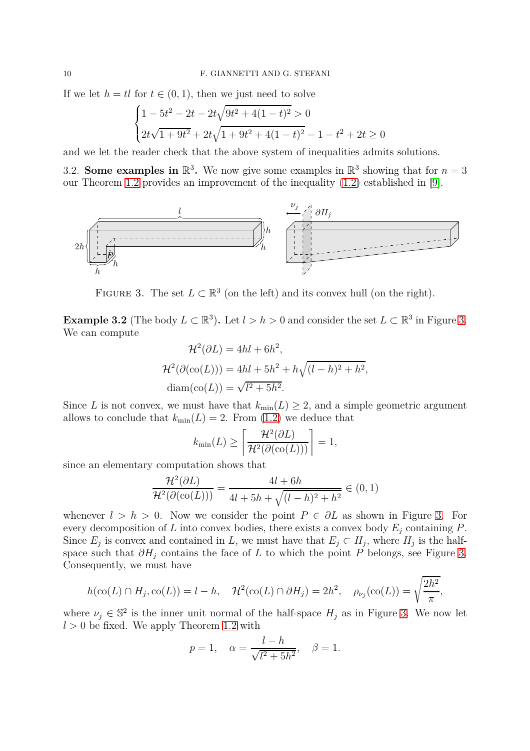If we let  $h = tl$  for  $t \in (0, 1)$ , then we just need to solve

$$
\begin{cases} 1 - 5t^2 - 2t - 2t\sqrt{9t^2 + 4(1 - t)^2} > 0 \\ 2t\sqrt{1 + 9t^2} + 2t\sqrt{1 + 9t^2 + 4(1 - t)^2} - 1 - t^2 + 2t \ge 0 \end{cases}
$$

and we let the reader check that the above system of inequalities admits solutions.

3.2. **Some examples in**  $\mathbb{R}^3$ . We now give some examples in  $\mathbb{R}^3$  showing that for  $n=3$ our Theorem [1.2](#page-3-1) provides an improvement of the inequality [\(1.2\)](#page-0-1) established in [\[9\]](#page-15-1).

<span id="page-9-0"></span>

FIGURE 3. The set  $L \subset \mathbb{R}^3$  (on the left) and its convex hull (on the right).

**Example [3.](#page-9-0)2** (The body  $L \subset \mathbb{R}^3$ ). Let  $l > h > 0$  and consider the set  $L \subset \mathbb{R}^3$  in Figure 3. We can compute

$$
\mathcal{H}^2(\partial L) = 4hl + 6h^2,
$$
  

$$
\mathcal{H}^2(\partial(\mathrm{co}(L))) = 4hl + 5h^2 + h\sqrt{(l-h)^2 + h^2},
$$
  

$$
\mathrm{diam}(\mathrm{co}(L)) = \sqrt{l^2 + 5h^2}.
$$

Since *L* is not convex, we must have that  $k_{\min}(L) \geq 2$ , and a simple geometric argument allows to conclude that  $k_{\text{min}}(L) = 2$ . From [\(1.2\)](#page-0-1) we deduce that

$$
k_{\min}(L) \ge \left\lceil \frac{\mathcal{H}^2(\partial L)}{\mathcal{H}^2(\partial(\mathrm{co}(L)))} \right\rceil = 1,
$$

since an elementary computation shows that

$$
\frac{\mathcal{H}^2(\partial L)}{\mathcal{H}^2(\partial(\text{co}(L)))} = \frac{4l + 6h}{4l + 5h + \sqrt{(l - h)^2 + h^2}} \in (0, 1)
$$

whenever  $l > h > 0$ . Now we consider the point  $P \in \partial L$  as shown in Figure [3.](#page-9-0) For every decomposition of *L* into convex bodies, there exists a convex body *E<sup>j</sup>* containing *P*. Since  $E_j$  is convex and contained in *L*, we must have that  $E_j \subset H_j$ , where  $H_j$  is the halfspace such that  $\partial H_i$  contains the face of *L* to which the point *P* belongs, see Figure [3.](#page-9-0) Consequently, we must have

$$
h(\operatorname{co}(L) \cap H_j, \operatorname{co}(L)) = l - h, \quad \mathcal{H}^2(\operatorname{co}(L) \cap \partial H_j) = 2h^2, \quad \rho_{\nu_j}(\operatorname{co}(L)) = \sqrt{\frac{2h^2}{\pi}},
$$

where  $\nu_j \in \mathbb{S}^2$  is the inner unit normal of the half-space  $H_j$  as in Figure [3.](#page-9-0) We now let  $l > 0$  be fixed. We apply Theorem [1.2](#page-3-1) with

$$
p = 1
$$
,  $\alpha = \frac{l - h}{\sqrt{l^2 + 5h^2}}$ ,  $\beta = 1$ .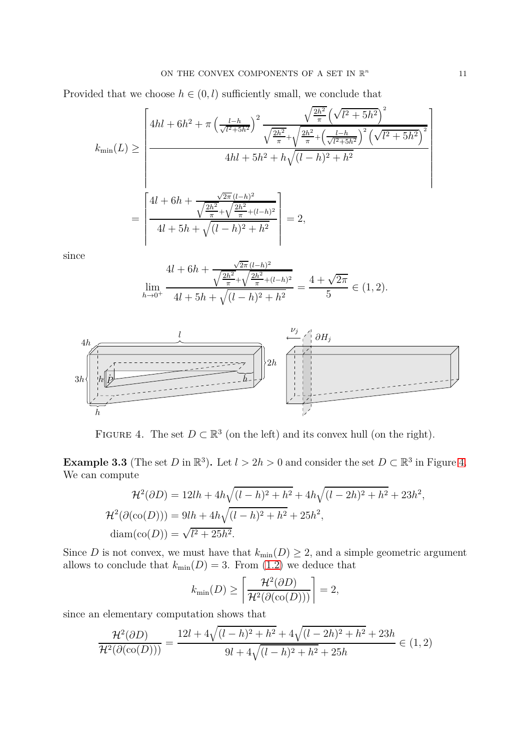Provided that we choose  $h \in (0, l)$  sufficiently small, we conclude that

$$
k_{\min}(L) \ge \left\lceil \frac{4hl + 6h^2 + \pi \left(\frac{l-h}{\sqrt{l^2+5h^2}}\right)^2 \frac{\sqrt{\frac{2h^2}{\pi}} \left(\sqrt{l^2+5h^2}\right)^2}{\sqrt{\frac{2h^2}{\pi}} + \sqrt{\frac{2h^2}{\pi} + \left(\frac{l-h}{\sqrt{l^2+5h^2}}\right)^2} \left(\sqrt{l^2+5h^2}\right)^2}}{4hl + 5h^2 + h\sqrt{(l-h)^2 + h^2}} \right\rceil
$$

$$
= \left\lceil \frac{4l + 6h + \frac{\sqrt{2\pi}(l-h)^2}{\sqrt{\frac{2h^2}{\pi}} + \sqrt{\frac{2h^2}{\pi} + (l-h)^2}}}{4l + 5h + \sqrt{(l-h)^2 + h^2}} \right\rceil = 2,
$$

since

$$
4l + 6h + \frac{\sqrt{2\pi (l-h)^2}}{\sqrt{\frac{2h^2}{\pi} + \sqrt{\frac{2h^2}{\pi} + (l-h)^2}}} = \frac{4 + \sqrt{2\pi}}{5} \in (1, 2).
$$
  

$$
\lim_{h \to 0^+} \frac{4l + 5h + \sqrt{(l-h)^2 + h^2}}{4l + 5h + \sqrt{(l-h)^2 + h^2}} = \frac{4 + \sqrt{2\pi}}{5} \in (1, 2).
$$

<span id="page-10-0"></span>

FIGURE 4. The set  $D \subset \mathbb{R}^3$  (on the left) and its convex hull (on the right).

**Example 3.3** (The set *D* in  $\mathbb{R}^3$ ). Let  $l > 2h > 0$  and consider the set  $D \subset \mathbb{R}^3$  in Figure [4.](#page-10-0) We can compute

$$
\mathcal{H}^2(\partial D) = 12lh + 4h\sqrt{(l-h)^2 + h^2} + 4h\sqrt{(l-2h)^2 + h^2} + 23h^2,
$$
  

$$
\mathcal{H}^2(\partial(\text{co}(D))) = 9lh + 4h\sqrt{(l-h)^2 + h^2} + 25h^2,
$$
  
diam(cos(D)) =  $\sqrt{l^2 + 25h^2}$ .

Since *D* is not convex, we must have that  $k_{\text{min}}(D) \geq 2$ , and a simple geometric argument allows to conclude that  $k_{\min}(D) = 3$ . From [\(1.2\)](#page-0-1) we deduce that

$$
k_{\min}(D) \ge \left\lceil \frac{\mathcal{H}^2(\partial D)}{\mathcal{H}^2(\partial(\text{co}(D)))} \right\rceil = 2,
$$

since an elementary computation shows that

$$
\frac{\mathcal{H}^2(\partial D)}{\mathcal{H}^2(\partial(\mathcal{O}(D)))} = \frac{12l + 4\sqrt{(l-h)^2 + h^2} + 4\sqrt{(l-2h)^2 + h^2} + 23h}{9l + 4\sqrt{(l-h)^2 + h^2} + 25h} \in (1,2)
$$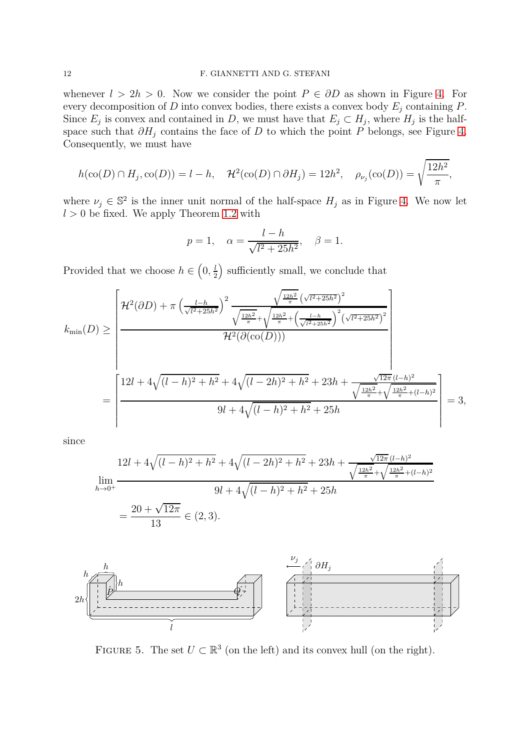# 12 F. GIANNETTI AND G. STEFANI

whenever  $l > 2h > 0$ . Now we consider the point  $P \in \partial D$  as shown in Figure [4.](#page-10-0) For every decomposition of *D* into convex bodies, there exists a convex body *E<sup>j</sup>* containing *P*. Since  $E_j$  is convex and contained in *D*, we must have that  $E_j \subset H_j$ , where  $H_j$  is the halfspace such that  $\partial H_i$  contains the face of *D* to which the point  $\overline{P}$  belongs, see Figure [4.](#page-10-0) Consequently, we must have

$$
h(\text{co}(D) \cap H_j, \text{co}(D)) = l - h, \quad \mathcal{H}^2(\text{co}(D) \cap \partial H_j) = 12h^2, \quad \rho_{\nu_j}(\text{co}(D)) = \sqrt{\frac{12h^2}{\pi}},
$$

where  $\nu_j \in \mathbb{S}^2$  is the inner unit normal of the half-space  $H_j$  as in Figure [4.](#page-10-0) We now let  $l > 0$  be fixed. We apply Theorem [1.2](#page-3-1) with

$$
p = 1
$$
,  $\alpha = \frac{l - h}{\sqrt{l^2 + 25h^2}}$ ,  $\beta = 1$ .

Provided that we choose  $h \in \left(0, \frac{l}{2}\right)$  $\frac{l}{2}$ ) sufficiently small, we conclude that

$$
k_{\min}(D) \geq \left[\frac{\mathcal{H}^{2}(\partial D) + \pi \left(\frac{l-h}{\sqrt{l^{2}+25h^{2}}}\right)^{2} \frac{\sqrt{\frac{12h^{2}}{\pi}} \left(\sqrt{l^{2}+25h^{2}}\right)^{2}}{\sqrt{\frac{12h^{2}}{\pi}} + \sqrt{\frac{12h^{2}}{\pi} + \left(\frac{l-h}{\sqrt{l^{2}+25h^{2}}}\right)^{2} \left(\sqrt{l^{2}+25h^{2}}\right)^{2}}}}{\mathcal{H}^{2}(\partial(\text{co}(D)))}\right] = \left[\frac{12l + 4\sqrt{(l-h)^{2} + h^{2}} + 4\sqrt{(l-2h)^{2} + h^{2}} + 23h + \frac{\sqrt{12\pi}(l-h)^{2}}{\sqrt{\frac{12h^{2}}{\pi}} + \sqrt{\frac{12h^{2}}{\pi} + (l-h)^{2}}}}{9l + 4\sqrt{(l-h)^{2} + h^{2}} + 25h}\right] = 3,
$$

since

$$
12l + 4\sqrt{(l-h)^2 + h^2} + 4\sqrt{(l-2h)^2 + h^2} + 23h + \frac{\sqrt{12\pi}(l-h)^2}{\sqrt{\frac{12h^2}{\pi}} + \sqrt{\frac{12h^2}{\pi}} + (l-h)^2}
$$

$$
= \frac{20 + \sqrt{12\pi}}{13} \in (2,3).
$$

<span id="page-11-0"></span>

FIGURE 5. The set  $U \subset \mathbb{R}^3$  (on the left) and its convex hull (on the right).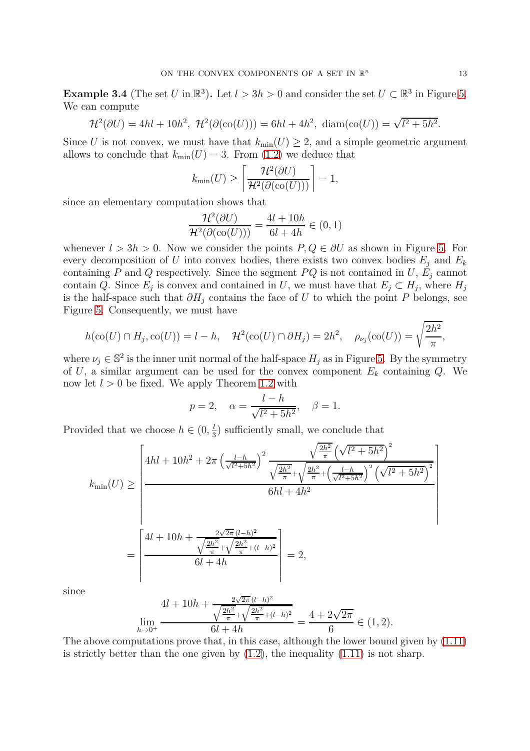**Example 3.4** (The set *U* in  $\mathbb{R}^3$ ). Let  $l > 3h > 0$  and consider the set  $U \subset \mathbb{R}^3$  in Figure [5.](#page-11-0) We can compute

$$
\mathcal{H}^{2}(\partial U) = 4hl + 10h^{2}, \ \mathcal{H}^{2}(\partial(\text{co}(U))) = 6hl + 4h^{2}, \ \text{diam}(\text{co}(U)) = \sqrt{l^{2} + 5h^{2}}.
$$

Since *U* is not convex, we must have that  $k_{\min}(U) \geq 2$ , and a simple geometric argument allows to conclude that  $k_{\min}(U) = 3$ . From [\(1.2\)](#page-0-1) we deduce that

$$
k_{\min}(U) \ge \left\lceil \frac{\mathcal{H}^2(\partial U)}{\mathcal{H}^2(\partial(\text{co}(U)))} \right\rceil = 1,
$$

since an elementary computation shows that

$$
\frac{\mathcal{H}^2(\partial U)}{\mathcal{H}^2(\partial(\text{co}(U)))} = \frac{4l + 10h}{6l + 4h} \in (0, 1)
$$

whenever  $l > 3h > 0$ . Now we consider the points  $P, Q \in \partial U$  as shown in Figure [5.](#page-11-0) For every decomposition of *U* into convex bodies, there exists two convex bodies  $E_i$  and  $E_k$ containing *P* and *Q* respectively. Since the segment *PQ* is not contained in *U*,  $E_j$  cannot contain *Q*. Since *E*<sup>*j*</sup> is convex and contained in *U*, we must have that  $E_j \subset H_j$ , where  $H_j$ is the half-space such that  $\partial H_i$  contains the face of *U* to which the point *P* belongs, see Figure [5.](#page-11-0) Consequently, we must have

$$
h(\text{co}(U) \cap H_j, \text{co}(U)) = l - h, \quad \mathcal{H}^2(\text{co}(U) \cap \partial H_j) = 2h^2, \quad \rho_{\nu_j}(\text{co}(U)) = \sqrt{\frac{2h^2}{\pi}},
$$

where  $\nu_j \in \mathbb{S}^2$  is the inner unit normal of the half-space  $H_j$  as in Figure [5.](#page-11-0) By the symmetry of U, a similar argument can be used for the convex component  $E_k$  containing  $Q$ . We now let *l >* 0 be fixed. We apply Theorem [1.2](#page-3-1) with

$$
p = 2
$$
,  $\alpha = \frac{l - h}{\sqrt{l^2 + 5h^2}}$ ,  $\beta = 1$ .

Provided that we choose  $h \in (0, \frac{l}{3})$  $\frac{l}{3}$ ) sufficiently small, we conclude that

$$
k_{\min}(U) \ge \left[\frac{4hl + 10h^2 + 2\pi \left(\frac{l-h}{\sqrt{l^2 + 5h^2}}\right)^2 \frac{\sqrt{\frac{2h^2}{\pi}} \left(\sqrt{l^2 + 5h^2}\right)^2}{\sqrt{\frac{2h^2}{\pi}} + \sqrt{\frac{2h^2}{\pi} + \left(\frac{l-h}{\sqrt{l^2 + 5h^2}}\right)^2} \left(\sqrt{l^2 + 5h^2}\right)^2}}{6hl + 4h^2}\right]
$$

$$
= \left[\frac{4l + 10h + \frac{2\sqrt{2\pi}(l-h)^2}{\sqrt{\frac{2h^2}{\pi}} + \sqrt{\frac{2h^2}{\pi} + (l-h)^2}}}{6l + 4h}\right] = 2,
$$

since

$$
\lim_{h \to 0^+} \frac{4l + 10h + \frac{2\sqrt{2\pi} (l-h)^2}{\sqrt{\frac{2h^2}{\pi} + \sqrt{\frac{2h^2}{\pi} + (l-h)^2}}}}{6l + 4h} = \frac{4 + 2\sqrt{2\pi}}{6} \in (1, 2).
$$

The above computations prove that, in this case, although the lower bound given by [\(1.11\)](#page-3-0) is strictly better than the one given by  $(1.2)$ , the inequality  $(1.11)$  is not sharp.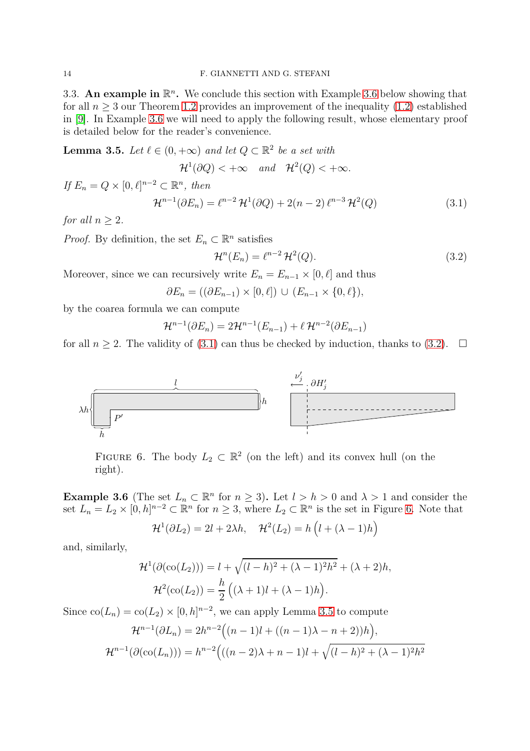3.3. An example in  $\mathbb{R}^n$ . We conclude this section with Example [3.6](#page-13-0) below showing that for all  $n > 3$  our Theorem [1.2](#page-3-1) provides an improvement of the inequality  $(1.2)$  established in [\[9\]](#page-15-1). In Example [3.6](#page-13-0) we will need to apply the following result, whose elementary proof is detailed below for the reader's convenience.

<span id="page-13-4"></span>**Lemma 3.5.** *Let*  $\ell \in (0, +\infty)$  *and let*  $Q \subset \mathbb{R}^2$  *be a set with* 

 $\mathcal{H}^1(\partial Q) < +\infty$  and  $\mathcal{H}^2(Q) < +\infty$ .

*If*  $E_n = Q \times [0, \ell]^{n-2} \subset \mathbb{R}^n$ , then

<span id="page-13-1"></span>
$$
\mathcal{H}^{n-1}(\partial E_n) = \ell^{n-2} \mathcal{H}^1(\partial Q) + 2(n-2) \ell^{n-3} \mathcal{H}^2(Q)
$$
\n(3.1)

*for all*  $n > 2$ *.* 

*Proof.* By definition, the set  $E_n \subset \mathbb{R}^n$  satisfies

<span id="page-13-2"></span>
$$
\mathcal{H}^n(E_n) = \ell^{n-2} \mathcal{H}^2(Q). \tag{3.2}
$$

Moreover, since we can recursively write  $E_n = E_{n-1} \times [0, \ell]$  and thus

 $∂E_n = ( (∂E_{n-1}) \times [0, ℓ] ) ∪ (E_{n-1} \times {0, ℓ)}$ 

by the coarea formula we can compute

$$
\mathcal{H}^{n-1}(\partial E_n) = 2\mathcal{H}^{n-1}(E_{n-1}) + \ell \mathcal{H}^{n-2}(\partial E_{n-1})
$$

<span id="page-13-3"></span>for all  $n \geq 2$ . The validity of [\(3.1\)](#page-13-1) can thus be checked by induction, thanks to [\(3.2\)](#page-13-2).  $\Box$ 



FIGURE 6. The body  $L_2 \subset \mathbb{R}^2$  (on the left) and its convex hull (on the right).

<span id="page-13-0"></span>**Example 3.6** (The set  $L_n \subset \mathbb{R}^n$  for  $n \ge 3$ ). Let  $l > h > 0$  and  $\lambda > 1$  and consider the set  $L_n = L_2 \times [0, h]^{n-2} \subset \mathbb{R}^n$  for  $n \geq 3$ , where  $L_2 \subset \mathbb{R}^n$  is the set in Figure [6.](#page-13-3) Note that

$$
\mathcal{H}^1(\partial L_2) = 2l + 2\lambda h, \quad \mathcal{H}^2(L_2) = h\left(l + (\lambda - 1)h\right)
$$

and, similarly,

$$
\mathcal{H}^1(\partial(\text{co}(L_2))) = l + \sqrt{(l-h)^2 + (\lambda - 1)^2 h^2} + (\lambda + 2)h,
$$
  

$$
\mathcal{H}^2(\text{co}(L_2)) = \frac{h}{2} ((\lambda + 1)l + (\lambda - 1)h).
$$

Since  $co(L_n) = co(L_2) \times [0, h]^{n-2}$ , we can apply Lemma [3.5](#page-13-4) to compute

$$
\mathcal{H}^{n-1}(\partial L_n) = 2h^{n-2}((n-1)l + ((n-1)\lambda - n + 2))h),
$$
  

$$
\mathcal{H}^{n-1}(\partial(\text{co}(L_n))) = h^{n-2}(((n-2)\lambda + n - 1)l + \sqrt{(l-h)^2 + (\lambda - 1)^2h^2})
$$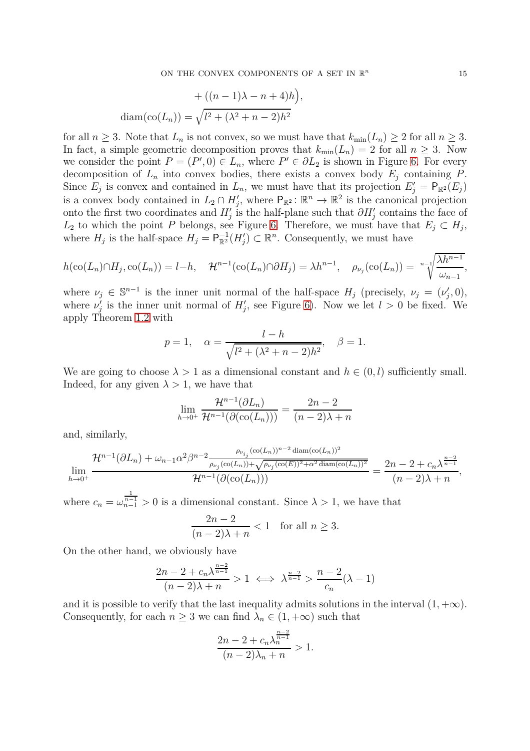*,*

$$
+ ((n - 1)\lambda - n + 4)h)
$$

$$
diam(co(Ln)) = \sqrt{l2 + (\lambda2 + n - 2)h2}
$$

for all  $n \geq 3$ . Note that  $L_n$  is not convex, so we must have that  $k_{\min}(L_n) \geq 2$  for all  $n \geq 3$ . In fact, a simple geometric decomposition proves that  $k_{\min}(L_n) = 2$  for all  $n \geq 3$ . Now we consider the point  $P = (P', 0) \in L_n$ , where  $P' \in \partial L_2$  is shown in Figure [6.](#page-13-3) For every decomposition of  $L_n$  into convex bodies, there exists a convex body  $E_j$  containing  $P$ . Since  $E_j$  is convex and contained in  $L_n$ , we must have that its projection  $E'_j = \mathsf{P}_{\mathbb{R}^2}(E_j)$ is a convex body contained in  $L_2 \cap H'_j$ , where  $P_{\mathbb{R}^2} : \mathbb{R}^n \to \mathbb{R}^2$  is the canonical projection onto the first two coordinates and  $H'_{j}$  is the half-plane such that  $\partial H'_{j}$  contains the face of *L*<sub>2</sub> to which the point *P* belongs, see Figure [6.](#page-13-3) Therefore, we must have that  $E_j \subset H_j$ , where  $H_j$  is the half-space  $H_j = \mathsf{P}_{\mathbb{R}^2}^{-1}(H'_j) \subset \mathbb{R}^n$ . Consequently, we must have

$$
h(\operatorname{co}(L_n) \cap H_j, \operatorname{co}(L_n)) = l - h, \quad \mathcal{H}^{n-1}(\operatorname{co}(L_n) \cap \partial H_j) = \lambda h^{n-1}, \quad \rho_{\nu_j}(\operatorname{co}(L_n)) = \sqrt[n-1]{\frac{\lambda h^{n-1}}{\omega_{n-1}}},
$$

where  $\nu_j \in \mathbb{S}^{n-1}$  is the inner unit normal of the half-space  $H_j$  (precisely,  $\nu_j = (\nu'_j, 0)$ , where  $\nu'_{j}$  is the inner unit normal of  $H'_{j}$ , see Figure [6\)](#page-13-3). Now we let  $l > 0$  be fixed. We apply Theorem [1.2](#page-3-1) with

$$
p = 1, \quad \alpha = \frac{l - h}{\sqrt{l^2 + (\lambda^2 + n - 2)h^2}}, \quad \beta = 1.
$$

We are going to choose  $\lambda > 1$  as a dimensional constant and  $h \in (0, l)$  sufficiently small. Indeed, for any given  $\lambda > 1$ , we have that

$$
\lim_{h \to 0^+} \frac{\mathcal{H}^{n-1}(\partial L_n)}{\mathcal{H}^{n-1}(\partial(\text{co}(L_n)))} = \frac{2n-2}{(n-2)\lambda + n}
$$

and, similarly,

$$
\lim_{h \to 0^+} \frac{\mathcal{H}^{n-1}(\partial L_n) + \omega_{n-1} \alpha^2 \beta^{n-2} \frac{\rho_{\nu_{i_j}}(\text{co}(L_n))^{n-2} \text{ diam}(\text{co}(L_n))^2}{\rho_{\nu_j}(\text{co}(L_n)) + \sqrt{\rho_{\nu_j}(\text{co}(E))^2 + \alpha^2 \text{ diam}(\text{co}(L_n))^2}}}{\mathcal{H}^{n-1}(\partial(\text{co}(L_n)))} = \frac{2n - 2 + c_n \lambda^{\frac{n-2}{n-1}}}{(n-2)\lambda + n},
$$

where  $c_n = \omega_{n-1}^{\frac{1}{n-1}} > 0$  is a dimensional constant. Since  $\lambda > 1$ , we have that

$$
\frac{2n-2}{(n-2)\lambda + n} < 1 \quad \text{for all } n \ge 3.
$$

On the other hand, we obviously have

$$
\frac{2n-2+c_n\lambda^{\frac{n-2}{n-1}}}{(n-2)\lambda+n} > 1 \iff \lambda^{\frac{n-2}{n-1}} > \frac{n-2}{c_n}(\lambda-1)
$$

and it is possible to verify that the last inequality admits solutions in the interval  $(1, +\infty)$ . Consequently, for each  $n \geq 3$  we can find  $\lambda_n \in (1, +\infty)$  such that

$$
\frac{2n-2+c_n\lambda_n^{\frac{n-2}{n-1}}}{(n-2)\lambda_n+n} > 1.
$$